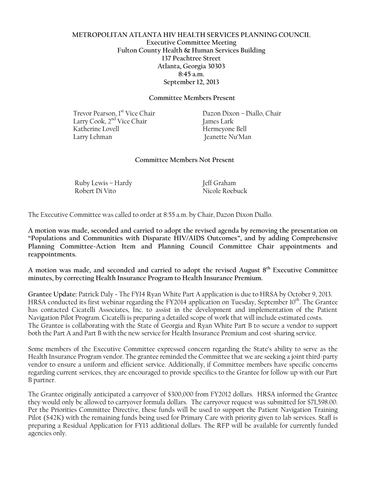## **METROPOLITAN ATLANTA HIV HEALTH SERVICES PLANNING COUNCIL Executive Committee Meeting Fulton County Health & Human Services Building 137 Peachtree Street Atlanta, Georgia 30303 8:45 a.m. September 12, 2013**

#### **Committee Members Present**

Trevor Pearson, 1<sup>st</sup> Vice Chair Dazon Dixon – Diallo, Chair Larry Cook, 2nd Vice Chair James Lark Larry Lehman Jeanette Nu'Man

Hermeyone Bell

#### **Committee Members Not Present**

Ruby Lewis – Hardy Jeff Graham Robert Di Vito Nicole Roebuck

The Executive Committee was called to order at 8:55 a.m. by Chair, Dazon Dixon Diallo.

**A motion was made, seconded and carried to adopt the revised agenda by removing the presentation on "Populations and Communities with Disparate HIV/AIDS Outcomes", and by adding Comprehensive Planning Committee**-**Action Item and Planning Council Committee Chair appointments and reappointments.**

**A motion was made, and seconded and carried to adopt the revised August 8th Executive Committee minutes, by correcting Health Insurance Program to Health Insurance Premium.**

**Grantee Update:** Patrick Daly - The FY14 Ryan White Part A application is due to HRSA by October 9, 2013. HRSA conducted its first webinar regarding the FY2014 application on Tuesday, September 10<sup>th</sup>. The Grantee has contacted Cicatelli Associates, Inc. to assist in the development and implementation of the Patient Navigation Pilot Program. Cicatelli is preparing a detailed scope of work that will include estimated costs. The Grantee is collaborating with the State of Georgia and Ryan White Part B to secure a vendor to support both the Part A and Part B with the new service for Health Insurance Premium and cost-sharing service.

Some members of the Executive Committee expressed concern regarding the State's ability to serve as the Health Insurance Program vendor. The grantee reminded the Committee that we are seeking a joint third-party vendor to ensure a uniform and efficient service. Additionally, if Committee members have specific concerns regarding current services, they are encouraged to provide specifics to the Grantee for follow up with our Part B partner.

The Grantee originally anticipated a carryover of \$300,000 from FY2012 dollars. HRSA informed the Grantee they would only be allowed to carryover formula dollars. The carryover request was submitted for \$71,598.00. Per the Priorities Committee Directive, these funds will be used to support the Patient Navigation Training Pilot (\$42K) with the remaining funds being used for Primary Care with priority given to lab services. Staff is preparing a Residual Application for FY13 additional dollars. The RFP will be available for currently funded agencies only.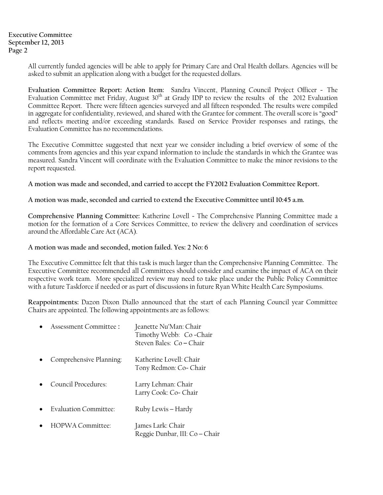**Executive Committee September 12, 2013 Page 2** 

> All currently funded agencies will be able to apply for Primary Care and Oral Health dollars. Agencies will be asked to submit an application along with a budget for the requested dollars.

> **Evaluation Committee Report: Action Item:** Sandra Vincent, Planning Council Project Officer - The Evaluation Committee met Friday, August 30<sup>th</sup> at Grady IDP to review the results of the 2012 Evaluation Committee Report. There were fifteen agencies surveyed and all fifteen responded. The results were compiled in aggregate for confidentiality, reviewed, and shared with the Grantee for comment. The overall score is "good" and reflects meeting and/or exceeding standards. Based on Service Provider responses and ratings, the Evaluation Committee has no recommendations.

> The Executive Committee suggested that next year we consider including a brief overview of some of the comments from agencies and this year expand information to include the standards in which the Grantee was measured. Sandra Vincent will coordinate with the Evaluation Committee to make the minor revisions to the report requested.

**A motion was made and seconded, and carried to accept the FY2012 Evaluation Committee Report.**

**A motion was made, seconded and carried to extend the Executive Committee until 10:45 a.m.**

**Comprehensive Planning Committee:** Katherine Lovell - The Comprehensive Planning Committee made a motion for the formation of a Core Services Committee, to review the delivery and coordination of services around the Affordable Care Act (ACA).

**A motion was made and seconded, motion failed. Yes: 2 No: 6**

The Executive Committee felt that this task is much larger than the Comprehensive Planning Committee. The Executive Committee recommended all Committees should consider and examine the impact of ACA on their respective work team. More specialized review may need to take place under the Public Policy Committee with a future Taskforce if needed or as part of discussions in future Ryan White Health Care Symposiums.

**Reappointments:** Dazon Dixon Diallo announced that the start of each Planning Council year Committee Chairs are appointed. The following appointments are as follows:

Reggie Dunbar, III: Co – Chair

| Assessment Committee:        | Jeanette Nu'Man: Chair<br>Timothy Webb: Co-Chair<br>Steven Bales: Co-Chair |
|------------------------------|----------------------------------------------------------------------------|
| Comprehensive Planning:      | Katherine Lovell: Chair<br>Tony Redmon: Co- Chair                          |
| Council Procedures:          | Larry Lehman: Chair<br>Larry Cook: Co- Chair                               |
| <b>Evaluation Committee:</b> | Ruby Lewis – Hardy                                                         |
| HOPWA Committee:             | [ames Lark: Chair                                                          |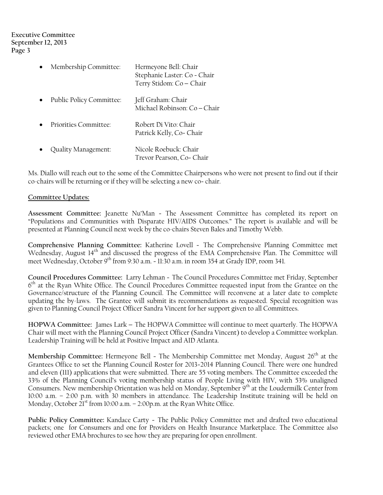## **Executive Committee September 12, 2013 Page 3**

| Membership Committee:    | Hermeyone Bell: Chair<br>Stephanie Laster: Co - Chair<br>Terry Stidom: Co - Chair |
|--------------------------|-----------------------------------------------------------------------------------|
| Public Policy Committee: | Jeff Graham: Chair<br>Michael Robinson: Co-Chair                                  |
| Priorities Committee:    | Robert Di Vito: Chair<br>Patrick Kelly, Co-Chair                                  |
| Quality Management:      | Nicole Roebuck: Chair<br>Trevor Pearson, Co- Chair                                |

Ms. Diallo will reach out to the some of the Committee Chairpersons who were not present to find out if their co-chairs will be returning or if they will be selecting a new co- chair.

# **Committee Updates:**

**Assessment Committee:** Jeanette Nu'Man - The Assessment Committee has completed its report on "Populations and Communities with Disparate HIV/AIDS Outcomes." The report is available and will be presented at Planning Council next week by the co-chairs Steven Bales and Timothy Webb.

**Comprehensive Planning Committee:** Katherine Lovell - The Comprehensive Planning Committee met Wednesday, August 14<sup>th</sup> and discussed the progress of the EMA Comprehensive Plan. The Committee will meet Wednesday, October 9<sup>th</sup> from 9:30 a.m. - 11:30 a.m. in room 354 at Grady IDP, room 341.

**Council Procedures Committee:** Larry Lehman - The Council Procedures Committee met Friday, September 6<sup>th</sup> at the Ryan White Office. The Council Procedures Committee requested input from the Grantee on the Governance/structure of the Planning Council. The Committee will reconvene at a later date to complete updating the by-laws. The Grantee will submit its recommendations as requested. Special recognition was given to Planning Council Project Officer Sandra Vincent for her support given to all Committees.

**HOPWA Committee:** James Lark – The HOPWA Committee will continue to meet quarterly. The HOPWA Chair will meet with the Planning Council Project Officer (Sandra Vincent) to develop a Committee workplan. Leadership Training will be held at Positive Impact and AID Atlanta.

Membership Committee: Hermeyone Bell - The Membership Committee met Monday, August 26<sup>th</sup> at the Grantees Office to set the Planning Council Roster for 2013-2014 Planning Council. There were one hundred and eleven (111) applications that were submitted. There are 55 voting members. The Committee exceeded the 33% of the Planning Council's voting membership status of People Living with HIV, with 53% unaligned Consumers. New membership Orientation was held on Monday, September 9th at the Loudermilk Center from 10:00 a.m. – 2:00 p.m. with 30 members in attendance. The Leadership Institute training will be held on Monday, October  $21^{st}$  from 10:00 a.m.  $-$  2:00p.m. at the Ryan White Office.

**Public Policy Committee:** Kandace Carty - The Public Policy Committee met and drafted two educational packets; one for Consumers and one for Providers on Health Insurance Marketplace. The Committee also reviewed other EMA brochures to see how they are preparing for open enrollment.